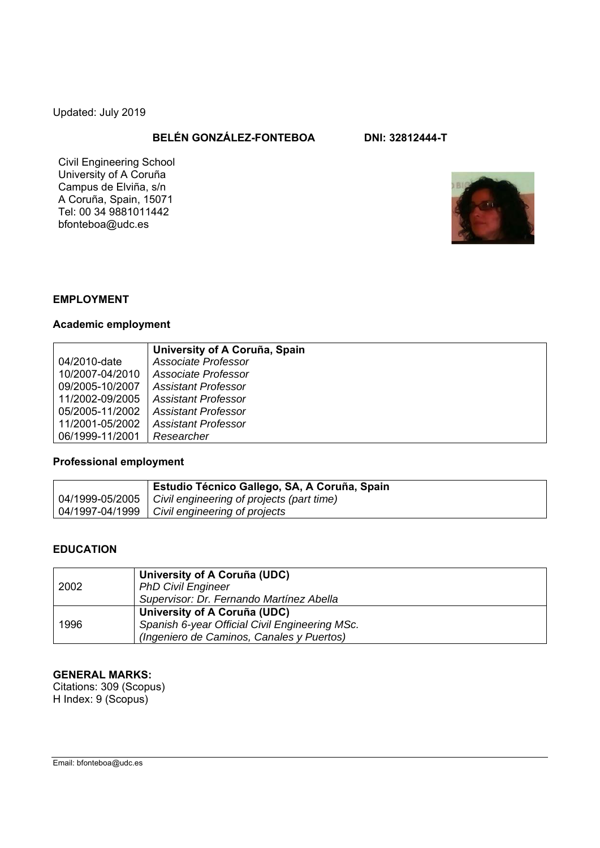Updated: July 2019

# **BELÉN GONZÁLEZ-FONTEBOA DNI: 32812444-T**

Civil Engineering School University of A Coruña Campus de Elviña, s/n A Coruña, Spain, 15071 Tel: 00 34 9881011442 bfonteboa@udc.es



#### **EMPLOYMENT**

## **Academic employment**

|                 | University of A Coruña, Spain |
|-----------------|-------------------------------|
| 04/2010-date    | Associate Professor           |
| 10/2007-04/2010 | Associate Professor           |
| 09/2005-10/2007 | <b>Assistant Professor</b>    |
| 11/2002-09/2005 | <b>Assistant Professor</b>    |
| 05/2005-11/2002 | <b>Assistant Professor</b>    |
| 11/2001-05/2002 | Assistant Professor           |
| 06/1999-11/2001 | Researcher                    |

## **Professional employment**

| , Estudio Técnico Gallego, SA, A Coruña, Spain                |  |
|---------------------------------------------------------------|--|
| 04/1999-05/2005   Civil engineering of projects (part time)   |  |
| $\vert$ 04/1997-04/1999 $\vert$ Civil engineering of projects |  |

#### **EDUCATION**

| 2002 | University of A Coruña (UDC)<br><b>PhD Civil Engineer</b><br>Supervisor: Dr. Fernando Martínez Abella                       |
|------|-----------------------------------------------------------------------------------------------------------------------------|
| 1996 | University of A Coruña (UDC)<br>Spanish 6-year Official Civil Engineering MSc.<br>(Ingeniero de Caminos, Canales y Puertos) |

## **GENERAL MARKS:**

Citations: 309 (Scopus) H Index: 9 (Scopus)

Email: bfonteboa@udc.es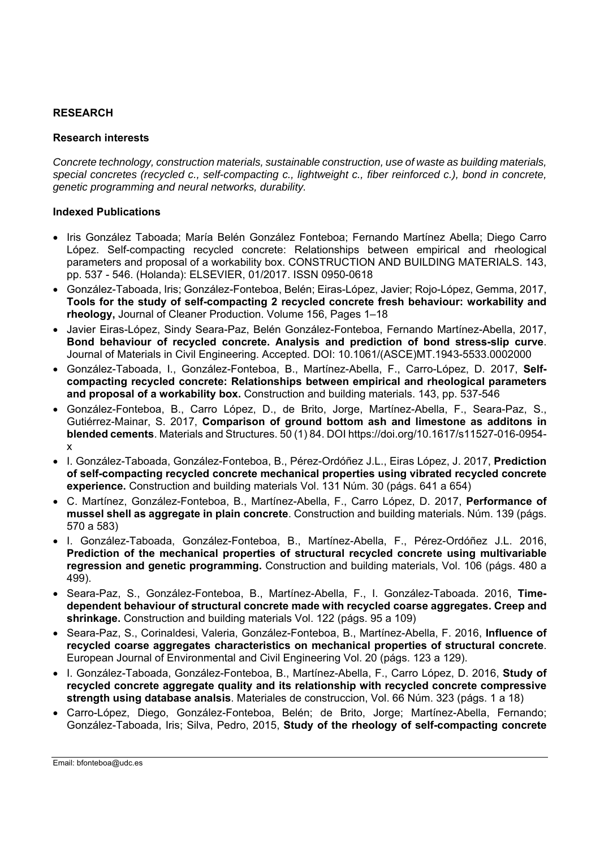#### **RESEARCH**

#### **Research interests**

*Concrete technology, construction materials, sustainable construction, use of waste as building materials, special concretes (recycled c., self-compacting c., lightweight c., fiber reinforced c.), bond in concrete, genetic programming and neural networks, durability.* 

#### **Indexed Publications**

- Iris González Taboada; María Belén González Fonteboa; Fernando Martínez Abella; Diego Carro López. Self-compacting recycled concrete: Relationships between empirical and rheological parameters and proposal of a workability box. CONSTRUCTION AND BUILDING MATERIALS. 143, pp. 537 - 546. (Holanda): ELSEVIER, 01/2017. ISSN 0950-0618
- González-Taboada, Iris; González-Fonteboa, Belén; Eiras-López, Javier; Rojo-López, Gemma, 2017, **Tools for the study of self-compacting 2 recycled concrete fresh behaviour: workability and rheology,** Journal of Cleaner Production. Volume 156, Pages 1–18
- Javier Eiras-López, Sindy Seara-Paz, Belén González-Fonteboa, Fernando Martínez-Abella, 2017, **Bond behaviour of recycled concrete. Analysis and prediction of bond stress-slip curve**. Journal of Materials in Civil Engineering. Accepted. DOI: 10.1061/(ASCE)MT.1943-5533.0002000
- González-Taboada, I., González-Fonteboa, B., Martínez-Abella, F., Carro-López, D. 2017, **Selfcompacting recycled concrete: Relationships between empirical and rheological parameters and proposal of a workability box.** Construction and building materials. 143, pp. 537-546
- González-Fonteboa, B., Carro López, D., de Brito, Jorge, Martínez-Abella, F., Seara-Paz, S., Gutiérrez-Mainar, S. 2017, **Comparison of ground bottom ash and limestone as additons in blended cements**. Materials and Structures. 50 (1) 84. DOI https://doi.org/10.1617/s11527-016-0954 x
- I. González-Taboada, González-Fonteboa, B., Pérez-Ordóñez J.L., Eiras López, J. 2017, **Prediction of self-compacting recycled concrete mechanical properties using vibrated recycled concrete experience.** Construction and building materials Vol. 131 Núm. 30 (págs. 641 a 654)
- C. Martínez, González-Fonteboa, B., Martínez-Abella, F., Carro López, D. 2017, **Performance of mussel shell as aggregate in plain concrete**. Construction and building materials. Núm. 139 (págs. 570 a 583)
- I. González-Taboada, González-Fonteboa, B., Martínez-Abella, F., Pérez-Ordóñez J.L. 2016, **Prediction of the mechanical properties of structural recycled concrete using multivariable regression and genetic programming.** Construction and building materials, Vol. 106 (págs. 480 a 499).
- Seara-Paz, S., González-Fonteboa, B., Martínez-Abella, F., I. González-Taboada. 2016, **Timedependent behaviour of structural concrete made with recycled coarse aggregates. Creep and shrinkage.** Construction and building materials Vol. 122 (págs. 95 a 109)
- Seara-Paz, S., Corinaldesi, Valeria, González-Fonteboa, B., Martínez-Abella, F. 2016, **Influence of recycled coarse aggregates characteristics on mechanical properties of structural concrete**. European Journal of Environmental and Civil Engineering Vol. 20 (págs. 123 a 129).
- I. González-Taboada, González-Fonteboa, B., Martínez-Abella, F., Carro López, D. 2016, **Study of recycled concrete aggregate quality and its relationship with recycled concrete compressive strength using database analsis**. Materiales de construccion, Vol. 66 Núm. 323 (págs. 1 a 18)
- Carro-López, Diego, González-Fonteboa, Belén; de Brito, Jorge; Martínez-Abella, Fernando; González-Taboada, Iris; Silva, Pedro, 2015, **Study of the rheology of self-compacting concrete**

Email: bfonteboa@udc.es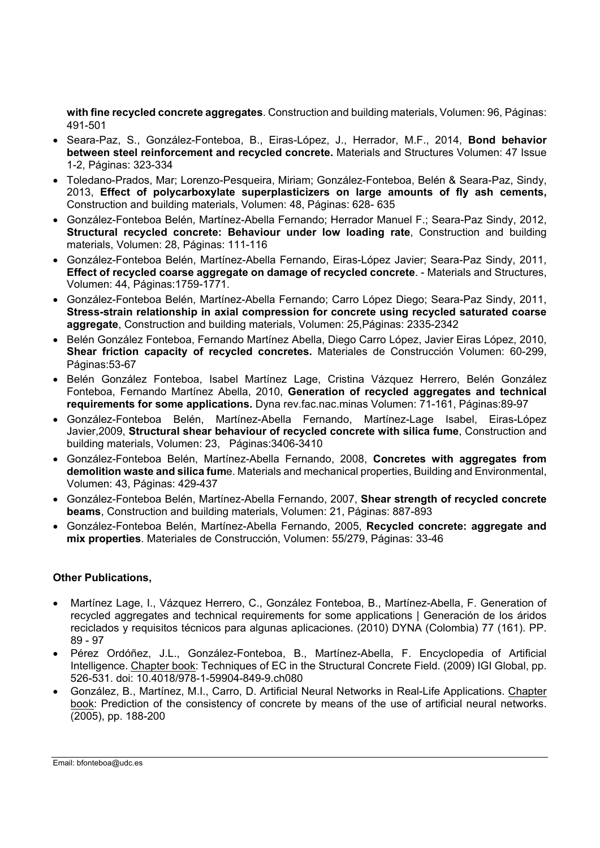**with fine recycled concrete aggregates**. Construction and building materials, Volumen: 96, Páginas: 491-501

- Seara-Paz, S., González-Fonteboa, B., Eiras-López, J., Herrador, M.F., 2014, **Bond behavior between steel reinforcement and recycled concrete.** Materials and Structures Volumen: 47 Issue 1-2, Páginas: 323-334
- Toledano-Prados, Mar; Lorenzo-Pesqueira, Miriam; González-Fonteboa, Belén & Seara-Paz, Sindy, 2013, **Effect of polycarboxylate superplasticizers on large amounts of fly ash cements,** Construction and building materials, Volumen: 48, Páginas: 628- 635
- González-Fonteboa Belén, Martínez-Abella Fernando; Herrador Manuel F.; Seara-Paz Sindy, 2012, **Structural recycled concrete: Behaviour under low loading rate**, Construction and building materials, Volumen: 28, Páginas: 111-116
- González-Fonteboa Belén, Martínez-Abella Fernando, Eiras-López Javier; Seara-Paz Sindy, 2011, **Effect of recycled coarse aggregate on damage of recycled concrete**. - Materials and Structures, Volumen: 44, Páginas:1759-1771.
- González-Fonteboa Belén, Martínez-Abella Fernando; Carro López Diego; Seara-Paz Sindy, 2011, **Stress-strain relationship in axial compression for concrete using recycled saturated coarse aggregate**, Construction and building materials, Volumen: 25,Páginas: 2335-2342
- Belén González Fonteboa, Fernando Martínez Abella, Diego Carro López, Javier Eiras López, 2010, **Shear friction capacity of recycled concretes.** Materiales de Construcción Volumen: 60-299, Páginas:53-67
- Belén González Fonteboa, Isabel Martínez Lage, Cristina Vázquez Herrero, Belén González Fonteboa, Fernando Martínez Abella, 2010, **Generation of recycled aggregates and technical requirements for some applications.** Dyna rev.fac.nac.minas Volumen: 71-161, Páginas:89-97
- González-Fonteboa Belén, Martínez-Abella Fernando, Martínez-Lage Isabel, Eiras-López Javier,2009, **Structural shear behaviour of recycled concrete with silica fume**, Construction and building materials, Volumen: 23, Páginas:3406-3410
- González-Fonteboa Belén, Martínez-Abella Fernando, 2008, **Concretes with aggregates from demolition waste and silica fum**e. Materials and mechanical properties, Building and Environmental, Volumen: 43, Páginas: 429-437
- González-Fonteboa Belén, Martínez-Abella Fernando, 2007, **Shear strength of recycled concrete beams**, Construction and building materials, Volumen: 21, Páginas: 887-893
- González-Fonteboa Belén, Martínez-Abella Fernando, 2005, **Recycled concrete: aggregate and mix properties**. Materiales de Construcción, Volumen: 55/279, Páginas: 33-46

## **Other Publications,**

- Martínez Lage, I., Vázquez Herrero, C., González Fonteboa, B., Martínez-Abella, F. Generation of recycled aggregates and technical requirements for some applications | Generación de los áridos reciclados y requisitos técnicos para algunas aplicaciones. (2010) DYNA (Colombia) 77 (161). PP. 89 - 97
- Pérez Ordóñez, J.L., González-Fonteboa, B., Martínez-Abella, F. Encyclopedia of Artificial Intelligence. Chapter book: Techniques of EC in the Structural Concrete Field. (2009) IGI Global, pp. 526-531. doi: 10.4018/978-1-59904-849-9.ch080
- González, B., Martínez, M.I., Carro, D. Artificial Neural Networks in Real-Life Applications. Chapter book: Prediction of the consistency of concrete by means of the use of artificial neural networks. (2005), pp. 188-200

Email: bfonteboa@udc.es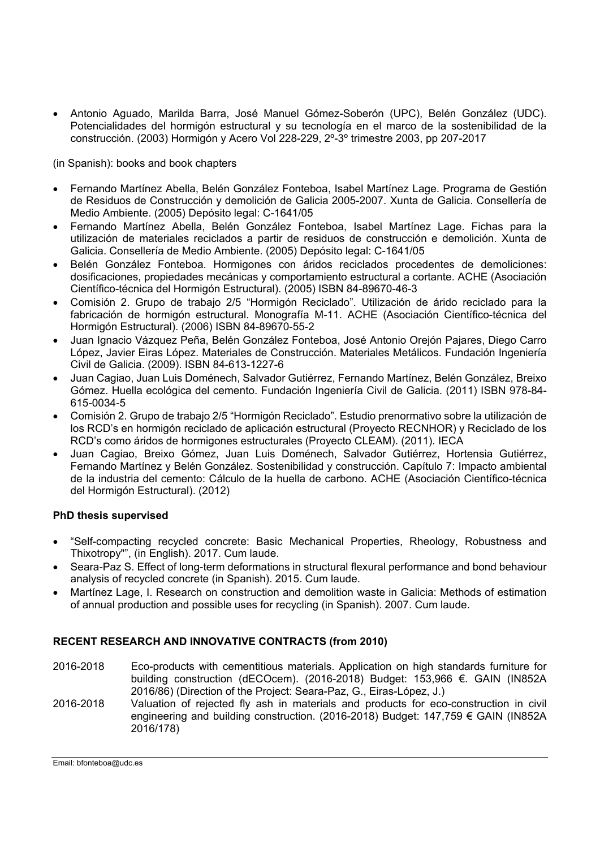Antonio Aguado, Marilda Barra, José Manuel Gómez-Soberón (UPC), Belén González (UDC). Potencialidades del hormigón estructural y su tecnología en el marco de la sostenibilidad de la construcción. (2003) Hormigón y Acero Vol 228-229, 2º-3º trimestre 2003, pp 207-2017

(in Spanish): books and book chapters

- Fernando Martínez Abella, Belén González Fonteboa, Isabel Martínez Lage. Programa de Gestión de Residuos de Construcción y demolición de Galicia 2005-2007. Xunta de Galicia. Consellería de Medio Ambiente. (2005) Depósito legal: C-1641/05
- Fernando Martínez Abella, Belén González Fonteboa, Isabel Martínez Lage. Fichas para la utilización de materiales reciclados a partir de residuos de construcción e demolición. Xunta de Galicia. Consellería de Medio Ambiente. (2005) Depósito legal: C-1641/05
- Belén González Fonteboa. Hormigones con áridos reciclados procedentes de demoliciones: dosificaciones, propiedades mecánicas y comportamiento estructural a cortante. ACHE (Asociación Científico-técnica del Hormigón Estructural). (2005) ISBN 84-89670-46-3
- Comisión 2. Grupo de trabajo 2/5 "Hormigón Reciclado". Utilización de árido reciclado para la fabricación de hormigón estructural. Monografía M-11. ACHE (Asociación Científico-técnica del Hormigón Estructural). (2006) ISBN 84-89670-55-2
- Juan Ignacio Vázquez Peña, Belén González Fonteboa, José Antonio Orejón Pajares, Diego Carro López, Javier Eiras López. Materiales de Construcción. Materiales Metálicos. Fundación Ingeniería Civil de Galicia. (2009). ISBN 84-613-1227-6
- Juan Cagiao, Juan Luis Doménech, Salvador Gutiérrez, Fernando Martínez, Belén González, Breixo Gómez. Huella ecológica del cemento. Fundación Ingeniería Civil de Galicia. (2011) ISBN 978-84- 615-0034-5
- Comisión 2. Grupo de trabajo 2/5 "Hormigón Reciclado". Estudio prenormativo sobre la utilización de los RCD's en hormigón reciclado de aplicación estructural (Proyecto RECNHOR) y Reciclado de los RCD's como áridos de hormigones estructurales (Proyecto CLEAM). (2011). IECA
- Juan Cagiao, Breixo Gómez, Juan Luis Doménech, Salvador Gutiérrez, Hortensia Gutiérrez, Fernando Martínez y Belén González. Sostenibilidad y construcción. Capítulo 7: Impacto ambiental de la industria del cemento: Cálculo de la huella de carbono. ACHE (Asociación Científico-técnica del Hormigón Estructural). (2012)

## **PhD thesis supervised**

- "Self-compacting recycled concrete: Basic Mechanical Properties, Rheology, Robustness and Thixotropy"", (in English). 2017. Cum laude.
- Seara-Paz S. Effect of long-term deformations in structural flexural performance and bond behaviour analysis of recycled concrete (in Spanish). 2015. Cum laude.
- Martínez Lage, I. Research on construction and demolition waste in Galicia: Methods of estimation of annual production and possible uses for recycling (in Spanish). 2007. Cum laude.

## **RECENT RESEARCH AND INNOVATIVE CONTRACTS (from 2010)**

- 2016-2018 Eco-products with cementitious materials. Application on high standards furniture for building construction (dECOcem). (2016-2018) Budget: 153,966 €. GAIN (IN852A 2016/86) (Direction of the Project: Seara-Paz, G., Eiras-López, J.)
- 2016-2018 Valuation of rejected fly ash in materials and products for eco-construction in civil engineering and building construction. (2016-2018) Budget: 147,759 € GAIN (IN852A 2016/178)

Email: bfonteboa@udc.es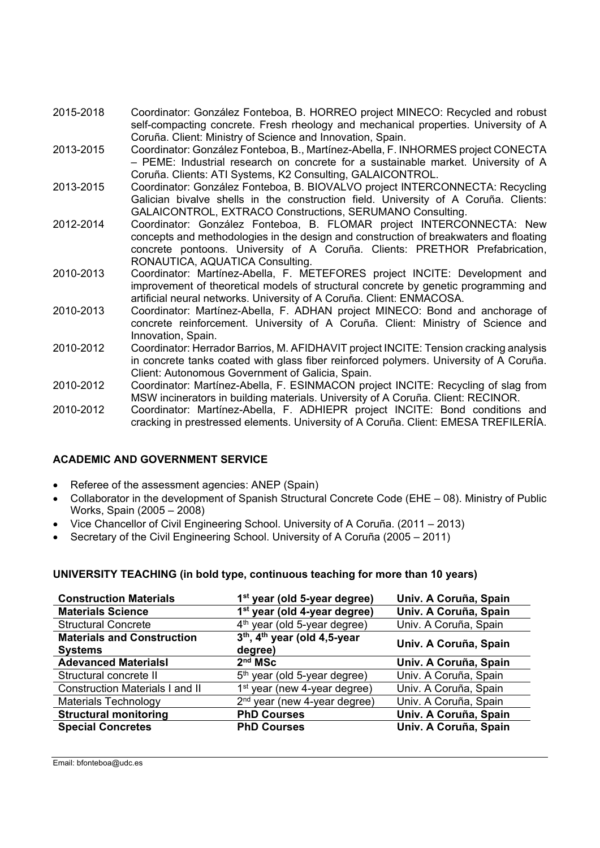- 2015-2018 Coordinator: González Fonteboa, B. HORREO project MINECO: Recycled and robust self-compacting concrete. Fresh rheology and mechanical properties. University of A Coruña. Client: Ministry of Science and Innovation, Spain.
- 2013-2015 Coordinator: González Fonteboa, B., Martínez-Abella, F. INHORMES project CONECTA – PEME: Industrial research on concrete for a sustainable market. University of A Coruña. Clients: ATI Systems, K2 Consulting, GALAICONTROL.
- 2013-2015 Coordinator: González Fonteboa, B. BIOVALVO project INTERCONNECTA: Recycling Galician bivalve shells in the construction field. University of A Coruña. Clients: GALAICONTROL, EXTRACO Constructions, SERUMANO Consulting.
- 2012-2014 Coordinator: González Fonteboa, B. FLOMAR project INTERCONNECTA: New concepts and methodologies in the design and construction of breakwaters and floating concrete pontoons. University of A Coruña. Clients: PRETHOR Prefabrication, RONAUTICA, AQUATICA Consulting.
- 2010-2013 Coordinator: Martínez-Abella, F. METEFORES project INCITE: Development and improvement of theoretical models of structural concrete by genetic programming and artificial neural networks. University of A Coruña. Client: ENMACOSA.
- 2010-2013 Coordinator: Martínez-Abella, F. ADHAN project MINECO: Bond and anchorage of concrete reinforcement. University of A Coruña. Client: Ministry of Science and Innovation, Spain.
- 2010-2012 Coordinator: Herrador Barrios, M. AFIDHAVIT project INCITE: Tension cracking analysis in concrete tanks coated with glass fiber reinforced polymers. University of A Coruña. Client: Autonomous Government of Galicia, Spain.
- 2010-2012 Coordinator: Martínez-Abella, F. ESINMACON project INCITE: Recycling of slag from MSW incinerators in building materials. University of A Coruña. Client: RECINOR.
- 2010-2012 Coordinator: Martínez-Abella, F. ADHIEPR project INCITE: Bond conditions and cracking in prestressed elements. University of A Coruña. Client: EMESA TREFILERÍA.

# **ACADEMIC AND GOVERNMENT SERVICE**

- Referee of the assessment agencies: ANEP (Spain)
- Collaborator in the development of Spanish Structural Concrete Code (EHE 08). Ministry of Public Works, Spain (2005 – 2008)
- Vice Chancellor of Civil Engineering School. University of A Coruña. (2011 2013)
- Secretary of the Civil Engineering School. University of A Coruña (2005 2011)

## **UNIVERSITY TEACHING (in bold type, continuous teaching for more than 10 years)**

| <b>Construction Materials</b>          | 1 <sup>st</sup> year (old 5-year degree)             | Univ. A Coruña, Spain |
|----------------------------------------|------------------------------------------------------|-----------------------|
| <b>Materials Science</b>               | 1 <sup>st</sup> year (old 4-year degree)             | Univ. A Coruña, Spain |
| <b>Structural Concrete</b>             | 4 <sup>th</sup> year (old 5-year degree)             | Univ. A Coruña, Spain |
| <b>Materials and Construction</b>      | 3 <sup>th</sup> , 4 <sup>th</sup> year (old 4,5-year | Univ. A Coruña, Spain |
| <b>Systems</b>                         | degree)                                              |                       |
| <b>Adevanced MaterialsI</b>            | 2 <sup>nd</sup> MSc                                  | Univ. A Coruña, Spain |
| Structural concrete II                 | 5 <sup>th</sup> year (old 5-year degree)             | Univ. A Coruña, Spain |
| <b>Construction Materials I and II</b> | 1 <sup>st</sup> year (new 4-year degree)             | Univ. A Coruña, Spain |
| <b>Materials Technology</b>            | 2 <sup>nd</sup> year (new 4-year degree)             | Univ. A Coruña, Spain |
| <b>Structural monitoring</b>           | <b>PhD Courses</b>                                   | Univ. A Coruña, Spain |
| <b>Special Concretes</b>               | <b>PhD Courses</b>                                   | Univ. A Coruña, Spain |